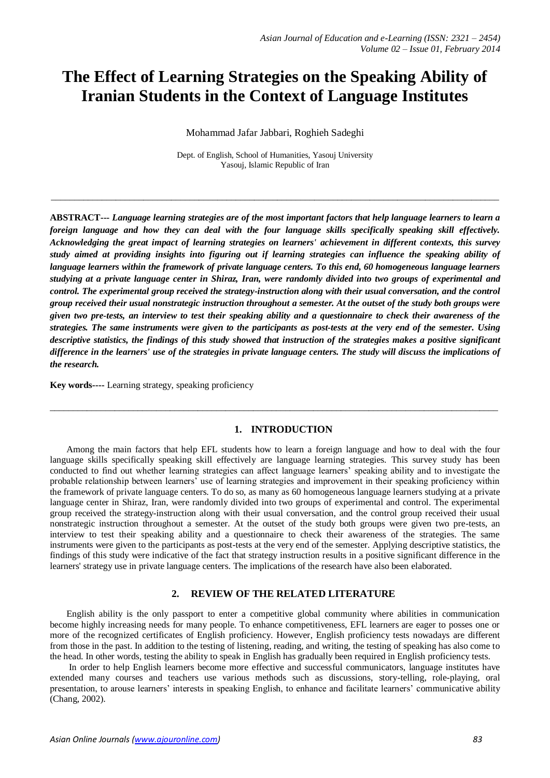# **The Effect of Learning Strategies on the Speaking Ability of Iranian Students in the Context of Language Institutes**

Mohammad Jafar Jabbari, Roghieh Sadeghi

Dept. of English, School of Humanities, Yasouj University Yasouj, Islamic Republic of Iran

*\_\_\_\_\_\_\_\_\_\_\_\_\_\_\_\_\_\_\_\_\_\_\_\_\_\_\_\_\_\_\_\_\_\_\_\_\_\_\_\_\_\_\_\_\_\_\_\_\_\_\_\_\_\_\_\_\_\_\_\_\_\_\_\_\_\_\_\_\_\_\_\_\_\_\_\_\_\_\_\_\_\_\_\_\_\_\_\_\_\_\_\_\_\_\_\_\_*

**ABSTRACT---** *Language learning strategies are of the most important factors that help language learners to learn a foreign language and how they can deal with the four language skills specifically speaking skill effectively. Acknowledging the great impact of learning strategies on learners' achievement in different contexts, this survey study aimed at providing insights into figuring out if learning strategies can influence the speaking ability of language learners within the framework of private language centers. To this end, 60 homogeneous language learners studying at a private language center in Shiraz, Iran, were randomly divided into two groups of experimental and control. The experimental group received the strategy-instruction along with their usual conversation, and the control group received their usual nonstrategic instruction throughout a semester. At the outset of the study both groups were given two pre-tests, an interview to test their speaking ability and a questionnaire to check their awareness of the strategies. The same instruments were given to the participants as post-tests at the very end of the semester. Using descriptive statistics, the findings of this study showed that instruction of the strategies makes a positive significant difference in the learners' use of the strategies in private language centers. The study will discuss the implications of the research.*

**Key words----** Learning strategy, speaking proficiency

# **1. INTRODUCTION**

\_\_\_\_\_\_\_\_\_\_\_\_\_\_\_\_\_\_\_\_\_\_\_\_\_\_\_\_\_\_\_\_\_\_\_\_\_\_\_\_\_\_\_\_\_\_\_\_\_\_\_\_\_\_\_\_\_\_\_\_\_\_\_\_\_\_\_\_\_\_\_\_\_\_\_\_\_\_\_\_\_\_\_\_\_\_\_\_\_\_\_\_\_\_\_\_\_

Among the main factors that help EFL students how to learn a foreign language and how to deal with the four language skills specifically speaking skill effectively are language learning strategies. This survey study has been conducted to find out whether learning strategies can affect language learners' speaking ability and to investigate the probable relationship between learners' use of learning strategies and improvement in their speaking proficiency within the framework of private language centers. To do so, as many as 60 homogeneous language learners studying at a private language center in Shiraz, Iran, were randomly divided into two groups of experimental and control. The experimental group received the strategy-instruction along with their usual conversation, and the control group received their usual nonstrategic instruction throughout a semester. At the outset of the study both groups were given two pre-tests, an interview to test their speaking ability and a questionnaire to check their awareness of the strategies. The same instruments were given to the participants as post-tests at the very end of the semester. Applying descriptive statistics, the findings of this study were indicative of the fact that strategy instruction results in a positive significant difference in the learners' strategy use in private language centers. The implications of the research have also been elaborated.

# **2. REVIEW OF THE RELATED LITERATURE**

English ability is the only passport to enter a competitive global community where abilities in communication become highly increasing needs for many people. To enhance competitiveness, EFL learners are eager to posses one or more of the recognized certificates of English proficiency. However, English proficiency tests nowadays are different from those in the past. In addition to the testing of listening, reading, and writing, the testing of speaking has also come to the head. In other words, testing the ability to speak in English has gradually been required in English proficiency tests.

In order to help English learners become more effective and successful communicators, language institutes have extended many courses and teachers use various methods such as discussions, story-telling, role-playing, oral presentation, to arouse learners' interests in speaking English, to enhance and facilitate learners' communicative ability (Chang, 2002).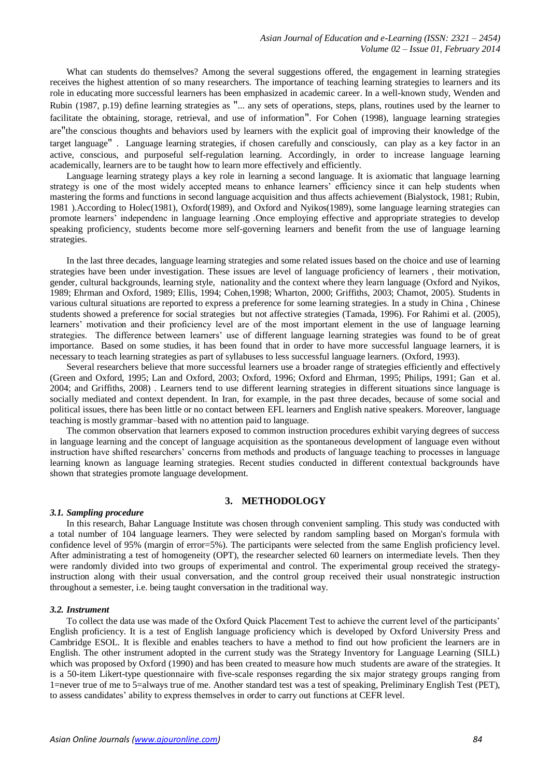What can students do themselves? Among the several suggestions offered, the engagement in learning strategies receives the highest attention of so many researchers. The importance of teaching learning strategies to learners and its role in educating more successful learners has been emphasized in academic career. In a well-known study, Wenden and Rubin (1987, p.19) define learning strategies as "... any sets of operations, steps, plans, routines used by the learner to facilitate the obtaining, storage, retrieval, and use of information". For Cohen (1998), language learning strategies are"the conscious thoughts and behaviors used by learners with the explicit goal of improving their knowledge of the target language" . Language learning strategies, if chosen carefully and consciously, can play as a key factor in an active, conscious, and purposeful self-regulation learning. Accordingly, in order to increase language learning academically, learners are to be taught how to learn more effectively and efficiently.

Language learning strategy plays a key role in learning a second language. It is axiomatic that language learning strategy is one of the most widely accepted means to enhance learners' efficiency since it can help students when mastering the forms and functions in second language acquisition and thus affects achievement (Bialystock, 1981; Rubin, 1981 ).According to Holec(1981), Oxford(1989), and Oxford and Nyikos(1989), some language learning strategies can promote learners' independenc in language learning .Once employing effective and appropriate strategies to develop speaking proficiency, students become more self-governing learners and benefit from the use of language learning strategies.

In the last three decades, language learning strategies and some related issues based on the choice and use of learning strategies have been under investigation. These issues are level of language proficiency of learners , their motivation, gender, cultural backgrounds, learning style, nationality and the context where they learn language (Oxford and Nyikos, 1989; Ehrman and Oxford, 1989; Ellis, 1994; Cohen,1998; Wharton, 2000; Griffiths, 2003; Chamot, 2005). Students in various cultural situations are reported to express a preference for some learning strategies. In a study in China , Chinese students showed a preference for social strategies but not affective strategies (Tamada, 1996). For Rahimi et al. (2005), learners' motivation and their proficiency level are of the most important element in the use of language learning strategies. The difference between learners' use of different language learning strategies was found to be of great importance. Based on some studies, it has been found that in order to have more successful language learners, it is necessary to teach learning strategies as part of syllabuses to less successful language learners. (Oxford, 1993).

Several researchers believe that more successful learners use a broader range of strategies efficiently and effectively (Green and Oxford, 1995; Lan and Oxford, 2003; Oxford, 1996; Oxford and Ehrman, 1995; Philips, 1991; Gan et al. 2004; and Griffiths, 2008) . Learners tend to use different learning strategies in different situations since language is socially mediated and context dependent. In Iran, for example, in the past three decades, because of some social and political issues, there has been little or no contact between EFL learners and English native speakers. Moreover, language teaching is mostly grammar–based with no attention paid to language.

The common observation that learners exposed to common instruction procedures exhibit varying degrees of success in language learning and the concept of language acquisition as the spontaneous development of language even without instruction have shifted researchers' concerns from methods and products of language teaching to processes in language learning known as language learning strategies. Recent studies conducted in different contextual backgrounds have shown that strategies promote language development.

# **3. METHODOLOGY**

## *3.1. Sampling procedure*

In this research, Bahar Language Institute was chosen through convenient sampling. This study was conducted with a total number of 104 language learners. They were selected by random sampling based on Morgan's formula with confidence level of 95% (margin of error=5%). The participants were selected from the same English proficiency level. After administrating a test of homogeneity (OPT), the researcher selected 60 learners on intermediate levels. Then they were randomly divided into two groups of experimental and control. The experimental group received the strategyinstruction along with their usual conversation, and the control group received their usual nonstrategic instruction throughout a semester, i.e. being taught conversation in the traditional way.

## *3.2. Instrument*

To collect the data use was made of the Oxford Quick Placement Test to achieve the current level of the participants' English proficiency. It is a test of English language proficiency which is developed by Oxford University Press and Cambridge ESOL. It is flexible and enables teachers to have a method to find out how proficient the learners are in English. The other instrument adopted in the current study was the Strategy Inventory for Language Learning (SILL) which was proposed by Oxford (1990) and has been created to measure how much students are aware of the strategies. It is a 50-item Likert-type questionnaire with five-scale responses regarding the six major strategy groups ranging from 1=never true of me to 5=always true of me. Another standard test was a test of speaking, Preliminary English Test (PET), to assess candidates' ability to express themselves in order to carry out functions at CEFR level.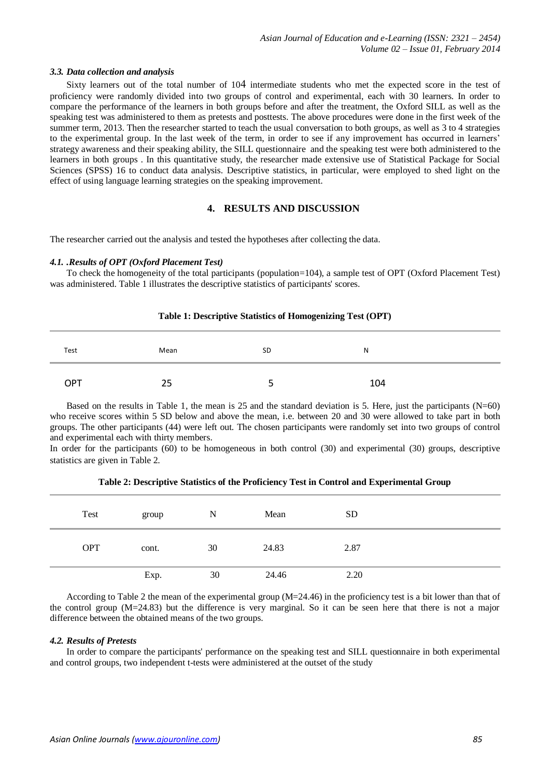#### *3.3. Data collection and analysis*

Sixty learners out of the total number of 104 intermediate students who met the expected score in the test of proficiency were randomly divided into two groups of control and experimental, each with 30 learners. In order to compare the performance of the learners in both groups before and after the treatment, the Oxford SILL as well as the speaking test was administered to them as pretests and posttests. The above procedures were done in the first week of the summer term, 2013. Then the researcher started to teach the usual conversation to both groups, as well as 3 to 4 strategies to the experimental group. In the last week of the term, in order to see if any improvement has occurred in learners' strategy awareness and their speaking ability, the SILL questionnaire and the speaking test were both administered to the learners in both groups . In this quantitative study, the researcher made extensive use of Statistical Package for Social Sciences (SPSS) 16 to conduct data analysis. Descriptive statistics, in particular, were employed to shed light on the effect of using language learning strategies on the speaking improvement.

# **4. RESULTS AND DISCUSSION**

The researcher carried out the analysis and tested the hypotheses after collecting the data.

#### *4.1. .Results of OPT (Oxford Placement Test)*

To check the homogeneity of the total participants (population=104), a sample test of OPT (Oxford Placement Test) was administered. Table 1 illustrates the descriptive statistics of participants' scores.

#### **Table 1: Descriptive Statistics of Homogenizing Test (OPT)**

| Test | Mean | SD | N   |  |
|------|------|----|-----|--|
| OPT  | つら   |    | 104 |  |

Based on the results in Table 1, the mean is 25 and the standard deviation is 5. Here, just the participants (N=60) who receive scores within 5 SD below and above the mean, i.e. between 20 and 30 were allowed to take part in both groups. The other participants (44) were left out. The chosen participants were randomly set into two groups of control and experimental each with thirty members.

In order for the participants (60) to be homogeneous in both control (30) and experimental (30) groups, descriptive statistics are given in Table 2.

| Test       | group | N  | Mean  | <b>SD</b> |  |
|------------|-------|----|-------|-----------|--|
| <b>OPT</b> | cont. | 30 | 24.83 | 2.87      |  |
|            | Exp.  | 30 | 24.46 | 2.20      |  |

**Table 2: Descriptive Statistics of the Proficiency Test in Control and Experimental Group**

According to Table 2 the mean of the experimental group  $(M=24.46)$  in the proficiency test is a bit lower than that of the control group (M=24.83) but the difference is very marginal. So it can be seen here that there is not a major difference between the obtained means of the two groups.

#### *4.2. Results of Pretests*

In order to compare the participants' performance on the speaking test and SILL questionnaire in both experimental and control groups, two independent t-tests were administered at the outset of the study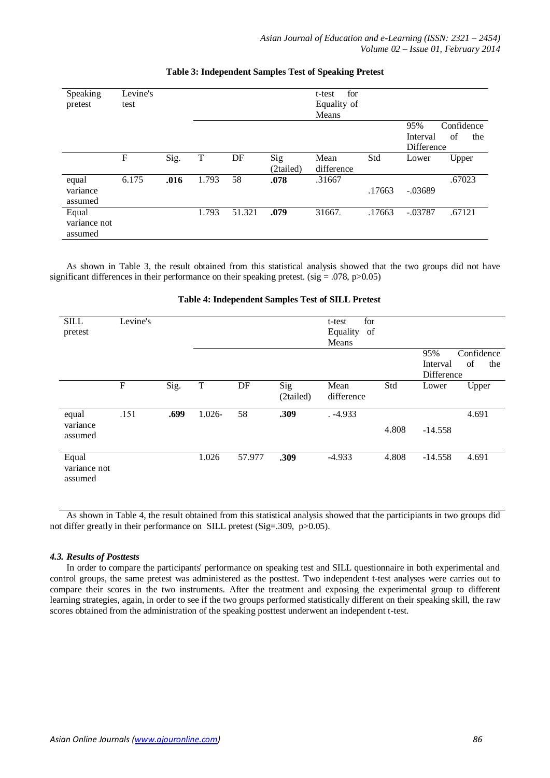| Speaking<br>pretest              | Levine's<br>test |      |       |        |                  | for<br>t-test<br>Equality of<br>Means |        |                        |            |
|----------------------------------|------------------|------|-------|--------|------------------|---------------------------------------|--------|------------------------|------------|
|                                  |                  |      |       |        |                  |                                       |        | 95%                    | Confidence |
|                                  |                  |      |       |        |                  |                                       |        | Interval<br>Difference | of<br>the  |
|                                  | F                | Sig. | T     | DF     | Sig<br>(2tailed) | Mean<br>difference                    | Std    | Lower                  | Upper      |
| equal<br>variance<br>assumed     | 6.175            | .016 | 1.793 | 58     | .078             | .31667                                | .17663 | $-.03689$              | .67023     |
| Equal<br>variance not<br>assumed |                  |      | 1.793 | 51.321 | .079             | 31667.                                | .17663 | $-.03787$              | .67121     |

# **Table 3: Independent Samples Test of Speaking Pretest**

As shown in Table 3, the result obtained from this statistical analysis showed that the two groups did not have significant differences in their performance on their speaking pretest. (sig = .078, p $>0.05$ )

| <b>Table 4: Independent Samples Test of SILL Pretest</b> |
|----------------------------------------------------------|
|                                                          |

| <b>SILL</b><br>pretest           | Levine's    |      |           |        |                  | for<br>t-test<br>Equality<br>of |       |            |            |
|----------------------------------|-------------|------|-----------|--------|------------------|---------------------------------|-------|------------|------------|
|                                  |             |      |           |        |                  | Means                           |       |            |            |
|                                  |             |      |           |        |                  |                                 |       | 95%        | Confidence |
|                                  |             |      |           |        |                  |                                 |       | Interval   | of<br>the  |
|                                  |             |      |           |        |                  |                                 |       | Difference |            |
|                                  | $\mathbf F$ | Sig. | T         | DF     | Sig<br>(2tailed) | Mean<br>difference              | Std   | Lower      | Upper      |
| equal                            | .151        | .699 | $1.026 -$ | 58     | .309             | $. -4.933$                      |       |            | 4.691      |
| variance<br>assumed              |             |      |           |        |                  |                                 | 4.808 | $-14.558$  |            |
| Equal<br>variance not<br>assumed |             |      | 1.026     | 57.977 | .309             | $-4.933$                        | 4.808 | $-14.558$  | 4.691      |

As shown in Table 4, the result obtained from this statistical analysis showed that the participiants in two groups did not differ greatly in their performance on SILL pretest (Sig=.309, p>0.05).

## *4.3. Results of Posttests*

In order to compare the participants' performance on speaking test and SILL questionnaire in both experimental and control groups, the same pretest was administered as the posttest. Two independent t-test analyses were carries out to compare their scores in the two instruments. After the treatment and exposing the experimental group to different learning strategies, again, in order to see if the two groups performed statistically different on their speaking skill, the raw scores obtained from the administration of the speaking posttest underwent an independent t*-*test.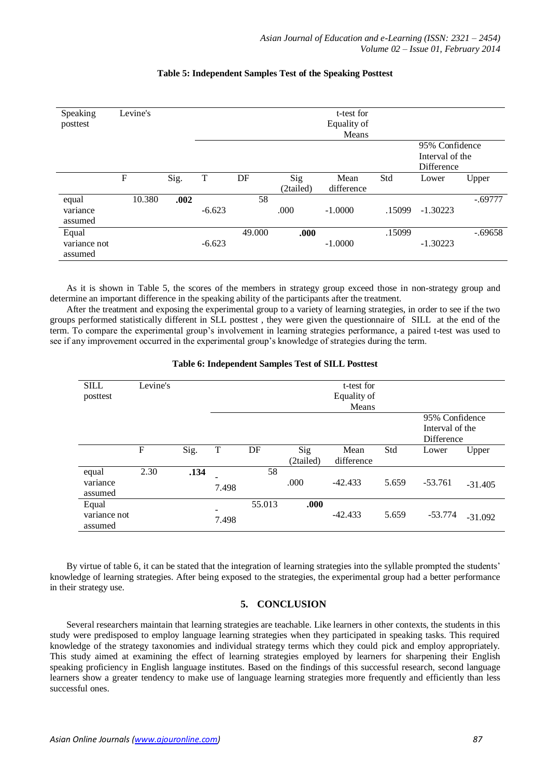| Speaking     | Levine's |      |          |        |           | t-test for  |        |                 |           |
|--------------|----------|------|----------|--------|-----------|-------------|--------|-----------------|-----------|
| posttest     |          |      |          |        |           | Equality of |        |                 |           |
|              |          |      |          |        |           | Means       |        |                 |           |
|              |          |      |          |        |           |             |        | 95% Confidence  |           |
|              |          |      |          |        |           |             |        | Interval of the |           |
|              |          |      |          |        |           |             |        | Difference      |           |
|              | F        | Sig. | T        | DF     | Sig       | Mean        | Std    | Lower           | Upper     |
|              |          |      |          |        | (2tailed) | difference  |        |                 |           |
| equal        | 10.380   | .002 |          | 58     |           |             |        |                 | $-.69777$ |
| variance     |          |      | $-6.623$ |        | .000      | $-1.0000$   | .15099 | $-1.30223$      |           |
| assumed      |          |      |          |        |           |             |        |                 |           |
| Equal        |          |      |          | 49.000 | .000      |             | .15099 |                 | $-.69658$ |
| variance not |          |      | $-6.623$ |        |           | $-1.0000$   |        | $-1.30223$      |           |
| assumed      |          |      |          |        |           |             |        |                 |           |

# **Table 5: Independent Samples Test of the Speaking Posttest**

As it is shown in Table 5, the scores of the members in strategy group exceed those in non-strategy group and determine an important difference in the speaking ability of the participants after the treatment.

After the treatment and exposing the experimental group to a variety of learning strategies, in order to see if the two groups performed statistically different in SLL posttest , they were given the questionnaire of SILL at the end of the term. To compare the experimental group's involvement in learning strategies performance, a paired t-test was used to see if any improvement occurred in the experimental group's knowledge of strategies during the term.

| <b>SILL</b>  | Levine's |      |       |        |           | t-test for  |       |                 |           |
|--------------|----------|------|-------|--------|-----------|-------------|-------|-----------------|-----------|
| posttest     |          |      |       |        |           | Equality of |       |                 |           |
|              |          |      |       |        |           | Means       |       |                 |           |
|              |          |      |       |        |           |             |       | 95% Confidence  |           |
|              |          |      |       |        |           |             |       | Interval of the |           |
|              |          |      |       |        |           |             |       | Difference      |           |
|              | F        | Sig. | T     | DF     | Sig       | Mean        | Std   | Lower           | Upper     |
|              |          |      |       |        | (2tailed) | difference  |       |                 |           |
| equal        | 2.30     | .134 |       | 58     |           |             |       |                 |           |
| variance     |          |      |       |        | .000      | $-42.433$   | 5.659 | $-53.761$       | $-31.405$ |
| assumed      |          |      | 7.498 |        |           |             |       |                 |           |
| Equal        |          |      |       | 55.013 | .000      |             |       |                 |           |
| variance not |          |      | -     |        |           | $-42.433$   | 5.659 | $-53.774$       | $-31.092$ |
| assumed      |          |      | 7.498 |        |           |             |       |                 |           |

#### **Table 6: Independent Samples Test of SILL Posttest**

By virtue of table 6, it can be stated that the integration of learning strategies into the syllable prompted the students' knowledge of learning strategies. After being exposed to the strategies, the experimental group had a better performance in their strategy use.

# **5. CONCLUSION**

Several researchers maintain that learning strategies are teachable. Like learners in other contexts, the students in this study were predisposed to employ language learning strategies when they participated in speaking tasks. This required knowledge of the strategy taxonomies and individual strategy terms which they could pick and employ appropriately. This study aimed at examining the effect of learning strategies employed by learners for sharpening their English speaking proficiency in English language institutes. Based on the findings of this successful research, second language learners show a greater tendency to make use of language learning strategies more frequently and efficiently than less successful ones.